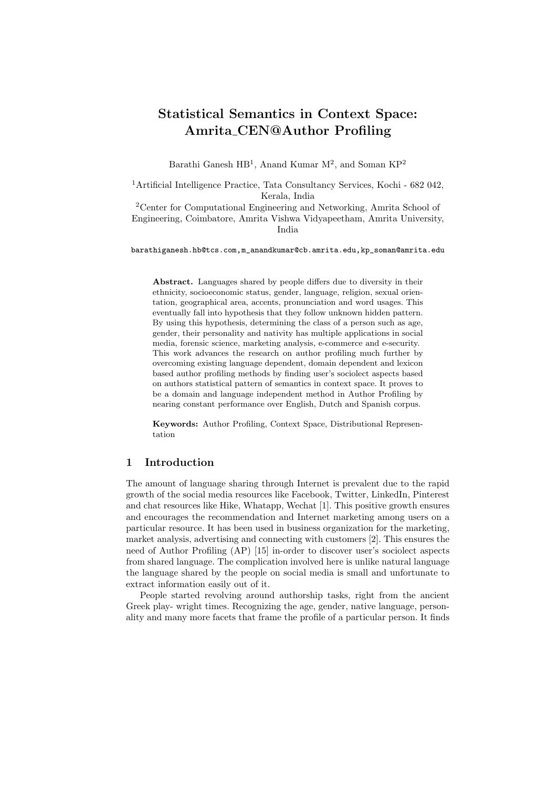# Statistical Semantics in Context Space: Amrita CEN@Author Profiling

Barathi Ganesh HB<sup>1</sup>, Anand Kumar M<sup>2</sup>, and Soman KP<sup>2</sup>

<sup>1</sup>Artificial Intelligence Practice, Tata Consultancy Services, Kochi - 682 042, Kerala, India

<sup>2</sup>Center for Computational Engineering and Networking, Amrita School of Engineering, Coimbatore, Amrita Vishwa Vidyapeetham, Amrita University, India

barathiganesh.hb@tcs.com,m\_anandkumar@cb.amrita.edu,kp\_soman@amrita.edu

Abstract. Languages shared by people differs due to diversity in their ethnicity, socioeconomic status, gender, language, religion, sexual orientation, geographical area, accents, pronunciation and word usages. This eventually fall into hypothesis that they follow unknown hidden pattern. By using this hypothesis, determining the class of a person such as age, gender, their personality and nativity has multiple applications in social media, forensic science, marketing analysis, e-commerce and e-security. This work advances the research on author profiling much further by overcoming existing language dependent, domain dependent and lexicon based author profiling methods by finding user's sociolect aspects based on authors statistical pattern of semantics in context space. It proves to be a domain and language independent method in Author Profiling by nearing constant performance over English, Dutch and Spanish corpus.

Keywords: Author Profiling, Context Space, Distributional Representation

# 1 Introduction

The amount of language sharing through Internet is prevalent due to the rapid growth of the social media resources like Facebook, Twitter, LinkedIn, Pinterest and chat resources like Hike, Whatapp, Wechat [1]. This positive growth ensures and encourages the recommendation and Internet marketing among users on a particular resource. It has been used in business organization for the marketing, market analysis, advertising and connecting with customers [2]. This ensures the need of Author Profiling (AP) [15] in-order to discover user's sociolect aspects from shared language. The complication involved here is unlike natural language the language shared by the people on social media is small and unfortunate to extract information easily out of it.

People started revolving around authorship tasks, right from the ancient Greek play- wright times. Recognizing the age, gender, native language, personality and many more facets that frame the profile of a particular person. It finds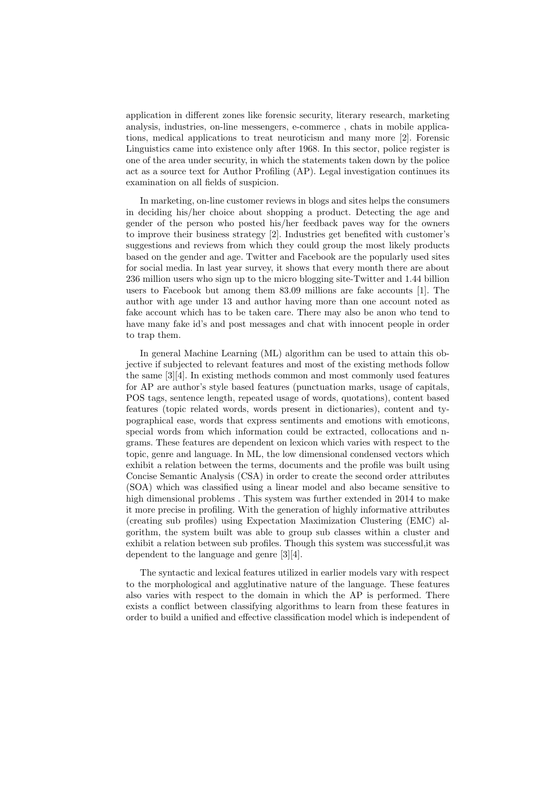application in different zones like forensic security, literary research, marketing analysis, industries, on-line messengers, e-commerce , chats in mobile applications, medical applications to treat neuroticism and many more [2]. Forensic Linguistics came into existence only after 1968. In this sector, police register is one of the area under security, in which the statements taken down by the police act as a source text for Author Profiling (AP). Legal investigation continues its examination on all fields of suspicion.

In marketing, on-line customer reviews in blogs and sites helps the consumers in deciding his/her choice about shopping a product. Detecting the age and gender of the person who posted his/her feedback paves way for the owners to improve their business strategy [2]. Industries get benefited with customer's suggestions and reviews from which they could group the most likely products based on the gender and age. Twitter and Facebook are the popularly used sites for social media. In last year survey, it shows that every month there are about 236 million users who sign up to the micro blogging site-Twitter and 1.44 billion users to Facebook but among them 83.09 millions are fake accounts [1]. The author with age under 13 and author having more than one account noted as fake account which has to be taken care. There may also be anon who tend to have many fake id's and post messages and chat with innocent people in order to trap them.

In general Machine Learning (ML) algorithm can be used to attain this objective if subjected to relevant features and most of the existing methods follow the same [3][4]. In existing methods common and most commonly used features for AP are author's style based features (punctuation marks, usage of capitals, POS tags, sentence length, repeated usage of words, quotations), content based features (topic related words, words present in dictionaries), content and typographical ease, words that express sentiments and emotions with emoticons, special words from which information could be extracted, collocations and ngrams. These features are dependent on lexicon which varies with respect to the topic, genre and language. In ML, the low dimensional condensed vectors which exhibit a relation between the terms, documents and the profile was built using Concise Semantic Analysis (CSA) in order to create the second order attributes (SOA) which was classified using a linear model and also became sensitive to high dimensional problems . This system was further extended in 2014 to make it more precise in profiling. With the generation of highly informative attributes (creating sub profiles) using Expectation Maximization Clustering (EMC) algorithm, the system built was able to group sub classes within a cluster and exhibit a relation between sub profiles. Though this system was successful,it was dependent to the language and genre [3][4].

The syntactic and lexical features utilized in earlier models vary with respect to the morphological and agglutinative nature of the language. These features also varies with respect to the domain in which the AP is performed. There exists a conflict between classifying algorithms to learn from these features in order to build a unified and effective classification model which is independent of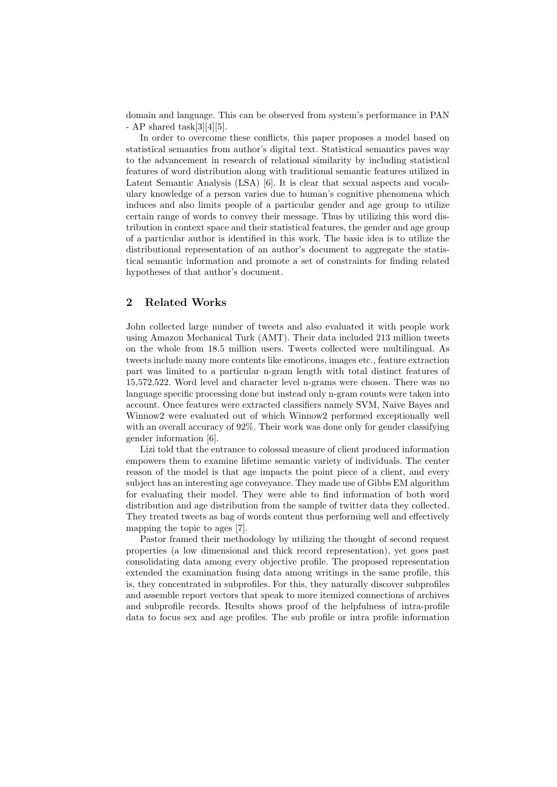domain and language. This can be observed from system's performance in PAN - AP shared task $[3][4][5]$ .

In order to overcome these conflicts, this paper proposes a model based on statistical semantics from author's digital text. Statistical semantics paves way to the advancement in research of relational similarity by including statistical features of word distribution along with traditional semantic features utilized in Latent Semantic Analysis (LSA) [6]. It is clear that sexual aspects and vocabulary knowledge of a person varies due to human's cognitive phenomena which induces and also limits people of a particular gender and age group to utilize certain range of words to convey their message. Thus by utilizing this word distribution in context space and their statistical features, the gender and age group of a particular author is identified in this work. The basic idea is to utilize the distributional representation of an author's document to aggregate the statistical semantic information and promote a set of constraints for finding related hypotheses of that author's document.

# 2 Related Works

John collected large number of tweets and also evaluated it with people work using Amazon Mechanical Turk (AMT). Their data included 213 million tweets on the whole from 18.5 million users. Tweets collected were multilingual. As tweets include many more contents like emoticons, images etc., feature extraction part was limited to a particular n-gram length with total distinct features of 15,572,522. Word level and character level n-grams were chosen. There was no language specific processing done but instead only n-gram counts were taken into account. Once features were extracted classifiers namely SVM, Naive Bayes and Winnow2 were evaluated out of which Winnow2 performed exceptionally well with an overall accuracy of 92%. Their work was done only for gender classifying gender information [6].

Lizi told that the entrance to colossal measure of client produced information empowers them to examine lifetime semantic variety of individuals. The center reason of the model is that age impacts the point piece of a client, and every subject has an interesting age conveyance. They made use of Gibbs EM algorithm for evaluating their model. They were able to find information of both word distribution and age distribution from the sample of twitter data they collected. They treated tweets as bag of words content thus performing well and effectively mapping the topic to ages [7].

Pastor framed their methodology by utilizing the thought of second request properties (a low dimensional and thick record representation), yet goes past consolidating data among every objective profile. The proposed representation extended the examination fusing data among writings in the same profile, this is, they concentrated in subprofiles. For this, they naturally discover subprofiles and assemble report vectors that speak to more itemized connections of archives and subprofile records. Results shows proof of the helpfulness of intra-profile data to focus sex and age profiles. The sub profile or intra profile information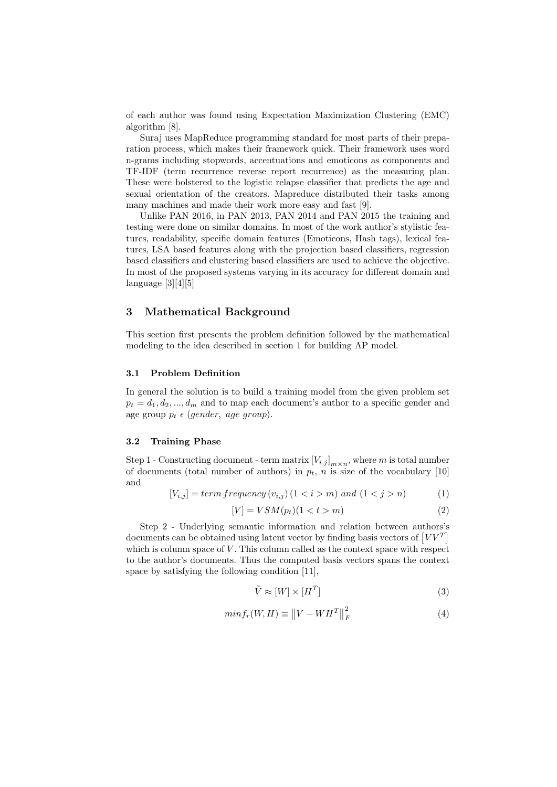of each author was found using Expectation Maximization Clustering (EMC) algorithm [8].

Suraj uses MapReduce programming standard for most parts of their preparation process, which makes their framework quick. Their framework uses word n-grams including stopwords, accentuations and emoticons as components and TF-IDF (term recurrence reverse report recurrence) as the measuring plan. These were bolstered to the logistic relapse classifier that predicts the age and sexual orientation of the creators. Mapreduce distributed their tasks among many machines and made their work more easy and fast [9].

Unlike PAN 2016, in PAN 2013, PAN 2014 and PAN 2015 the training and testing were done on similar domains. In most of the work author's stylistic features, readability, specific domain features (Emoticons, Hash tags), lexical features, LSA based features along with the projection based classifiers, regression based classifiers and clustering based classifiers are used to achieve the objective. In most of the proposed systems varying in its accuracy for different domain and language [3][4][5]

# 3 Mathematical Background

This section first presents the problem definition followed by the mathematical modeling to the idea described in section 1 for building AP model.

## 3.1 Problem Definition

In general the solution is to build a training model from the given problem set  $p_t = d_1, d_2, ..., d_m$  and to map each document's author to a specific gender and age group  $p_t \in (gender, age\ group).$ 

#### 3.2 Training Phase

Step 1 - Constructing document - term matrix  $[V_{i,j}]_{m \times n}$ , where m is total number of documents (total number of authors) in  $p_t$ , n is size of the vocabulary [10] and

$$
[V_{i,j}] = term frequency (v_{i,j}) (1 \le i > m) and (1 \le j > n)
$$
 (1)

$$
[V] = VSM(p_t)(1 < t > m)
$$
\n<sup>(2)</sup>

Step 2 - Underlying semantic information and relation between authors's documents can be obtained using latent vector by finding basis vectors of  $[VV^T]$ which is column space of  $V$ . This column called as the context space with respect to the author's documents. Thus the computed basis vectors spans the context space by satisfying the following condition [11],

$$
\tilde{V} \approx [W] \times [H^T] \tag{3}
$$

$$
min f_r(W, H) \equiv \left\| V - W H^T \right\|_F^2 \tag{4}
$$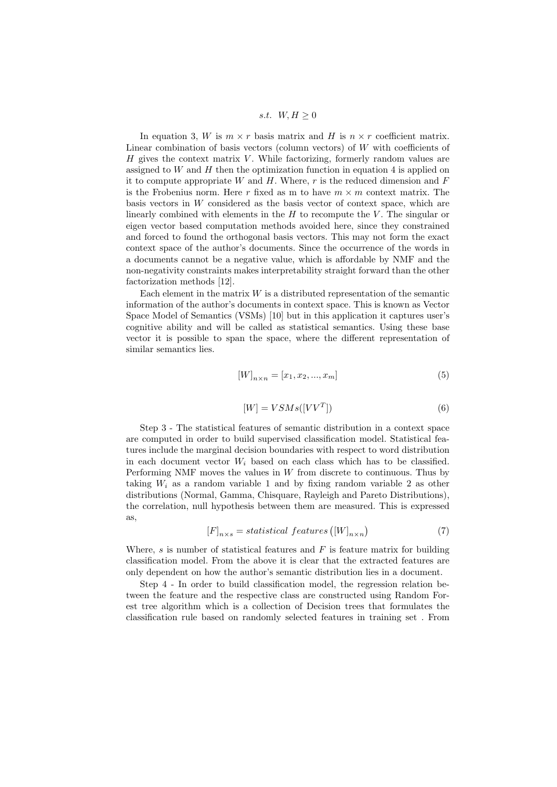s.t.  $W, H \geq 0$ 

In equation 3, W is  $m \times r$  basis matrix and H is  $n \times r$  coefficient matrix. Linear combination of basis vectors (column vectors) of  $W$  with coefficients of  $H$  gives the context matrix  $V$ . While factorizing, formerly random values are assigned to  $W$  and  $H$  then the optimization function in equation 4 is applied on it to compute appropriate W and  $H$ . Where, r is the reduced dimension and  $F$ is the Frobenius norm. Here r fixed as m to have  $m \times m$  context matrix. The basis vectors in W considered as the basis vector of context space, which are linearly combined with elements in the  $H$  to recompute the  $V$ . The singular or eigen vector based computation methods avoided here, since they constrained and forced to found the orthogonal basis vectors. This may not form the exact context space of the author's documents. Since the occurrence of the words in a documents cannot be a negative value, which is affordable by NMF and the non-negativity constraints makes interpretability straight forward than the other factorization methods [12].

Each element in the matrix  $W$  is a distributed representation of the semantic information of the author's documents in context space. This is known as Vector Space Model of Semantics (VSMs) [10] but in this application it captures user's cognitive ability and will be called as statistical semantics. Using these base vector it is possible to span the space, where the different representation of similar semantics lies.

$$
[W]_{n \times n} = [x_1, x_2, ..., x_m]
$$
 (5)

$$
[W] = VSMs([VV^T])\tag{6}
$$

Step 3 - The statistical features of semantic distribution in a context space are computed in order to build supervised classification model. Statistical features include the marginal decision boundaries with respect to word distribution in each document vector  $W_i$  based on each class which has to be classified. Performing NMF moves the values in  $W$  from discrete to continuous. Thus by taking  $W_i$  as a random variable 1 and by fixing random variable 2 as other distributions (Normal, Gamma, Chisquare, Rayleigh and Pareto Distributions), the correlation, null hypothesis between them are measured. This is expressed as,

$$
[F]_{n \times s} = statistical \; features \left( [W]_{n \times n} \right) \tag{7}
$$

Where, s is number of statistical features and  $F$  is feature matrix for building classification model. From the above it is clear that the extracted features are only dependent on how the author's semantic distribution lies in a document.

Step 4 - In order to build classification model, the regression relation between the feature and the respective class are constructed using Random Forest tree algorithm which is a collection of Decision trees that formulates the classification rule based on randomly selected features in training set . From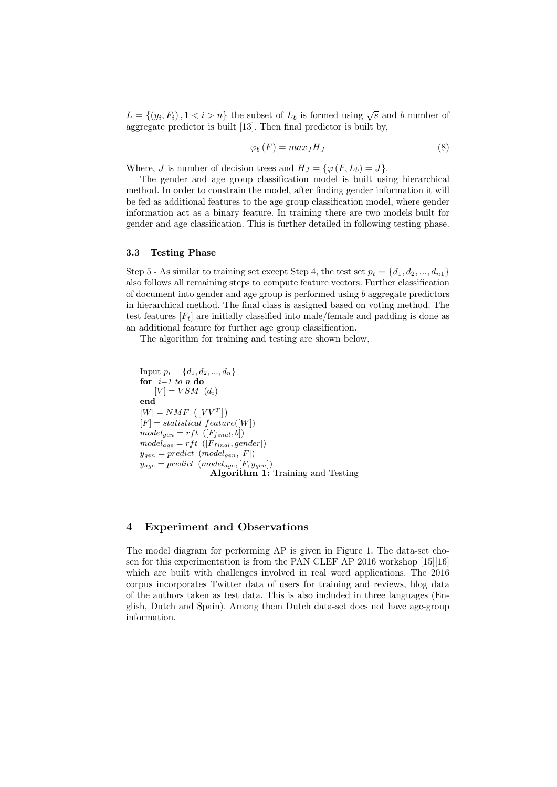$L = \{(y_i, F_i), 1 < i > n\}$  the subset of  $L_b$  is formed using  $\sqrt{s}$  and b number of aggregate predictor is built [13]. Then final predictor is built by,

$$
\varphi_b(F) = max_J H_J \tag{8}
$$

Where, J is number of decision trees and  $H_J = \{ \varphi(F, L_b) = J \}.$ 

The gender and age group classification model is built using hierarchical method. In order to constrain the model, after finding gender information it will be fed as additional features to the age group classification model, where gender information act as a binary feature. In training there are two models built for gender and age classification. This is further detailed in following testing phase.

#### 3.3 Testing Phase

Step 5 - As similar to training set except Step 4, the test set  $p_t = \{d_1, d_2, ..., d_{n1}\}\$ also follows all remaining steps to compute feature vectors. Further classification of document into gender and age group is performed using b aggregate predictors in hierarchical method. The final class is assigned based on voting method. The test features  $[F_t]$  are initially classified into male/female and padding is done as an additional feature for further age group classification.

The algorithm for training and testing are shown below,

Input  $p_i = \{d_1, d_2, ..., d_n\}$ for  $i=1$  to n do  $[V] = V S M$   $(d_i)$ end  $[W] = NMF\ \left(\left[VV^{T}\right]\right)$  $[F] = statistical\ feature([W])$  $model_{gen} = rft \ ([F_{final}, b])$  $model_{age} = rft \ ([F_{final}, gender])$  $y_{gen} = predict \ (model_{gen}, [F])$  $y_{age} = predict \ (model_{age}, [F, y_{gen}])$ Algorithm 1: Training and Testing

# 4 Experiment and Observations

The model diagram for performing AP is given in Figure 1. The data-set chosen for this experimentation is from the PAN CLEF AP 2016 workshop [15][16] which are built with challenges involved in real word applications. The 2016 corpus incorporates Twitter data of users for training and reviews, blog data of the authors taken as test data. This is also included in three languages (English, Dutch and Spain). Among them Dutch data-set does not have age-group information.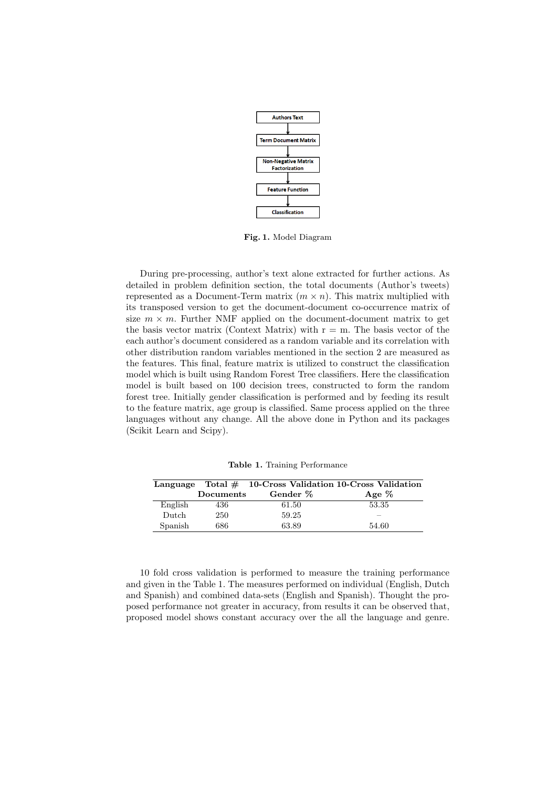

Fig. 1. Model Diagram

During pre-processing, author's text alone extracted for further actions. As detailed in problem definition section, the total documents (Author's tweets) represented as a Document-Term matrix  $(m \times n)$ . This matrix multiplied with its transposed version to get the document-document co-occurrence matrix of size  $m \times m$ . Further NMF applied on the document-document matrix to get the basis vector matrix (Context Matrix) with  $r = m$ . The basis vector of the each author's document considered as a random variable and its correlation with other distribution random variables mentioned in the section 2 are measured as the features. This final, feature matrix is utilized to construct the classification model which is built using Random Forest Tree classifiers. Here the classification model is built based on 100 decision trees, constructed to form the random forest tree. Initially gender classification is performed and by feeding its result to the feature matrix, age group is classified. Same process applied on the three languages without any change. All the above done in Python and its packages (Scikit Learn and Scipy).

|         |           |          | Language Total $\#$ 10-Cross Validation 10-Cross Validation |
|---------|-----------|----------|-------------------------------------------------------------|
|         | Documents | Gender % | Age $%$                                                     |
| English | 436       | 61.50    | 53.35                                                       |
| Dutch   | 250       | 59.25    | -                                                           |
| Spanish | 686       | 63.89    | 54.60                                                       |

Table 1. Training Performance

10 fold cross validation is performed to measure the training performance and given in the Table 1. The measures performed on individual (English, Dutch and Spanish) and combined data-sets (English and Spanish). Thought the proposed performance not greater in accuracy, from results it can be observed that, proposed model shows constant accuracy over the all the language and genre.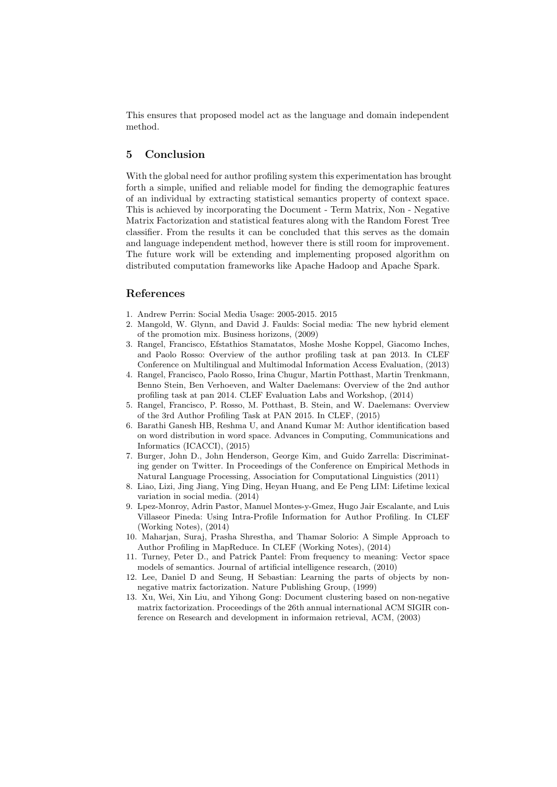This ensures that proposed model act as the language and domain independent method.

# 5 Conclusion

With the global need for author profiling system this experimentation has brought forth a simple, unified and reliable model for finding the demographic features of an individual by extracting statistical semantics property of context space. This is achieved by incorporating the Document - Term Matrix, Non - Negative Matrix Factorization and statistical features along with the Random Forest Tree classifier. From the results it can be concluded that this serves as the domain and language independent method, however there is still room for improvement. The future work will be extending and implementing proposed algorithm on distributed computation frameworks like Apache Hadoop and Apache Spark.

### References

- 1. Andrew Perrin: Social Media Usage: 2005-2015. 2015
- 2. Mangold, W. Glynn, and David J. Faulds: Social media: The new hybrid element of the promotion mix. Business horizons, (2009)
- 3. Rangel, Francisco, Efstathios Stamatatos, Moshe Moshe Koppel, Giacomo Inches, and Paolo Rosso: Overview of the author profiling task at pan 2013. In CLEF Conference on Multilingual and Multimodal Information Access Evaluation, (2013)
- 4. Rangel, Francisco, Paolo Rosso, Irina Chugur, Martin Potthast, Martin Trenkmann, Benno Stein, Ben Verhoeven, and Walter Daelemans: Overview of the 2nd author profiling task at pan 2014. CLEF Evaluation Labs and Workshop, (2014)
- 5. Rangel, Francisco, P. Rosso, M. Potthast, B. Stein, and W. Daelemans: Overview of the 3rd Author Profiling Task at PAN 2015. In CLEF, (2015)
- 6. Barathi Ganesh HB, Reshma U, and Anand Kumar M: Author identification based on word distribution in word space. Advances in Computing, Communications and Informatics (ICACCI), (2015)
- 7. Burger, John D., John Henderson, George Kim, and Guido Zarrella: Discriminating gender on Twitter. In Proceedings of the Conference on Empirical Methods in Natural Language Processing, Association for Computational Linguistics (2011)
- 8. Liao, Lizi, Jing Jiang, Ying Ding, Heyan Huang, and Ee Peng LIM: Lifetime lexical variation in social media. (2014)
- 9. Lpez-Monroy, Adrin Pastor, Manuel Montes-y-Gmez, Hugo Jair Escalante, and Luis Villaseor Pineda: Using Intra-Profile Information for Author Profiling. In CLEF (Working Notes), (2014)
- 10. Maharjan, Suraj, Prasha Shrestha, and Thamar Solorio: A Simple Approach to Author Profiling in MapReduce. In CLEF (Working Notes), (2014)
- 11. Turney, Peter D., and Patrick Pantel: From frequency to meaning: Vector space models of semantics. Journal of artificial intelligence research, (2010)
- 12. Lee, Daniel D and Seung, H Sebastian: Learning the parts of objects by nonnegative matrix factorization. Nature Publishing Group, (1999)
- 13. Xu, Wei, Xin Liu, and Yihong Gong: Document clustering based on non-negative matrix factorization. Proceedings of the 26th annual international ACM SIGIR conference on Research and development in informaion retrieval, ACM, (2003)